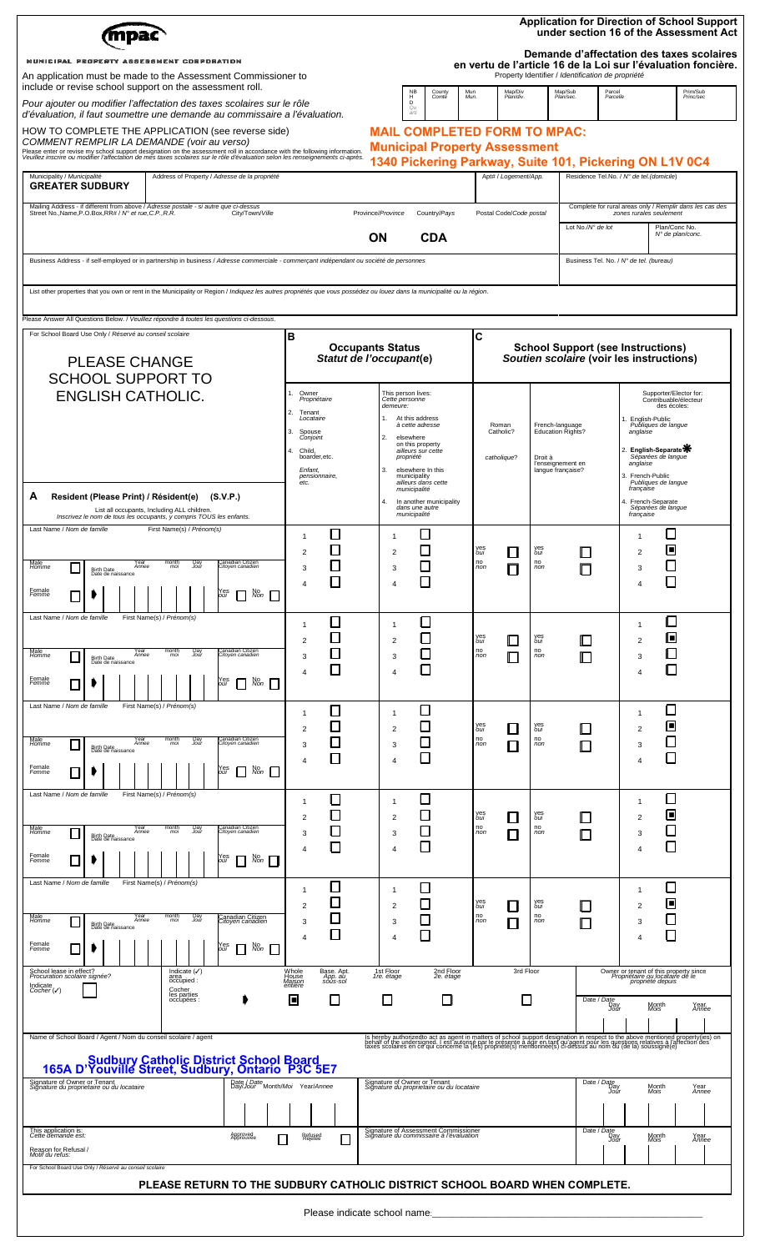|                                                                                                                                                                                                                                                                                                           |                                                         |                                                                            |                                     |                                                   |                                                                                                                               |                                                                                                                                                                                                                                   |        |                                               |                                                                                                                                            | <b>Application for Direction of School Support</b><br>under section 16 of the Assessment Act<br>Demande d'affectation des taxes scolaires |                                                              |                                                                                            |                                                                                               |                                                          |  |
|-----------------------------------------------------------------------------------------------------------------------------------------------------------------------------------------------------------------------------------------------------------------------------------------------------------|---------------------------------------------------------|----------------------------------------------------------------------------|-------------------------------------|---------------------------------------------------|-------------------------------------------------------------------------------------------------------------------------------|-----------------------------------------------------------------------------------------------------------------------------------------------------------------------------------------------------------------------------------|--------|-----------------------------------------------|--------------------------------------------------------------------------------------------------------------------------------------------|-------------------------------------------------------------------------------------------------------------------------------------------|--------------------------------------------------------------|--------------------------------------------------------------------------------------------|-----------------------------------------------------------------------------------------------|----------------------------------------------------------|--|
| MUNICIPAL PROPERTY ASSESSMENT CORPORATION<br>An application must be made to the Assessment Commissioner to<br>include or revise school support on the assessment roll.<br>Pour ajouter ou modifier l'affectation des taxes scolaires sur le rôle                                                          |                                                         |                                                                            |                                     |                                                   |                                                                                                                               | <b>NB</b><br>County<br>$_{\rm D}^{\rm H}$<br>Comté                                                                                                                                                                                |        | Mun<br>Mun.                                   | en vertu de l'article 16 de la Loi sur l'évaluation foncière.<br>Property Identifier / Identification de propriété<br>Map/Div<br>Plan/div. |                                                                                                                                           | Map/Sub<br>Plan/sec.                                         | Parcel<br>Parcelle                                                                         |                                                                                               | Prim/Sub<br>Princ/sec                                    |  |
| d'évaluation, il faut soumettre une demande au commissaire a l'évaluation.<br>HOW TO COMPLETE THE APPLICATION (see reverse side)                                                                                                                                                                          |                                                         |                                                                            |                                     | Qu<br>arti<br><b>MAIL COMPLETED FORM TO MPAC:</b> |                                                                                                                               |                                                                                                                                                                                                                                   |        |                                               |                                                                                                                                            |                                                                                                                                           |                                                              |                                                                                            |                                                                                               |                                                          |  |
| COMMENT REMPLIR LA DEMANDE (voir au verso)<br>Please enter or revise my school support designation on the assessment roll in accordance with the following information.<br>Veuillez inscrire ou modifier l'affectation de mes taxes scolaires sur le rôle d'évaluation selon les renseignements ci-après. |                                                         |                                                                            |                                     |                                                   |                                                                                                                               | <b>Municipal Property Assessment</b><br>1340 Pickering Parkway, Suite 101, Pickering ON L1V 0C4                                                                                                                                   |        |                                               |                                                                                                                                            |                                                                                                                                           |                                                              |                                                                                            |                                                                                               |                                                          |  |
| Municipality / Municipalité<br>Address of Property / Adresse de la propriété<br><b>GREATER SUDBURY</b>                                                                                                                                                                                                    |                                                         |                                                                            |                                     |                                                   |                                                                                                                               |                                                                                                                                                                                                                                   |        |                                               | Apt# / Logement/App.                                                                                                                       |                                                                                                                                           |                                                              | Residence Tel.No. / Nº de tel.(domicile)                                                   |                                                                                               |                                                          |  |
| Mailing Address - if different from above / Adresse postale - si autre que ci-dessus<br>Street No., Name, P.O.Box, RR# / N° et rue, C.P., R.R.<br>City/Town/Ville                                                                                                                                         |                                                         |                                                                            |                                     |                                                   | Province/Province                                                                                                             | Country/Pays                                                                                                                                                                                                                      |        |                                               | Postal Code/Code postal                                                                                                                    |                                                                                                                                           |                                                              |                                                                                            | zones rurales seulement                                                                       | Complete for rural areas only / Remplir dans les cas des |  |
|                                                                                                                                                                                                                                                                                                           |                                                         |                                                                            |                                     |                                                   | OΝ                                                                                                                            | <b>CDA</b>                                                                                                                                                                                                                        |        |                                               |                                                                                                                                            |                                                                                                                                           | Lot No./N° de lot                                            |                                                                                            | Plan/Conc No.<br>N° de plan/conc.                                                             |                                                          |  |
| Business Address - if self-employed or in partnership in business / Adresse commerciale - commerçant indépendant ou société de personnes                                                                                                                                                                  |                                                         |                                                                            |                                     |                                                   |                                                                                                                               |                                                                                                                                                                                                                                   |        |                                               |                                                                                                                                            |                                                                                                                                           |                                                              | Business Tel. No. / N° de tel. (bureau)                                                    |                                                                                               |                                                          |  |
| List other properties that you own or rent in the Municipality or Region / Indiquez les autres propriétés que vous possédez ou louez dans la municipalité ou la région.                                                                                                                                   |                                                         |                                                                            |                                     |                                                   |                                                                                                                               |                                                                                                                                                                                                                                   |        |                                               |                                                                                                                                            |                                                                                                                                           |                                                              |                                                                                            |                                                                                               |                                                          |  |
| Please Answer All Questions Below. / Veuillez répondre â toutes les questions ci-dessous.                                                                                                                                                                                                                 |                                                         |                                                                            |                                     |                                                   |                                                                                                                               |                                                                                                                                                                                                                                   |        |                                               |                                                                                                                                            |                                                                                                                                           |                                                              |                                                                                            |                                                                                               |                                                          |  |
| For School Board Use Only / Réservé au conseil scolaire<br><b>PLEASE CHANGE</b><br><b>SCHOOL SUPPORT TO</b><br><b>ENGLISH CATHOLIC.</b>                                                                                                                                                                   |                                                         |                                                                            |                                     | в<br><b>Occupants Status</b>                      |                                                                                                                               |                                                                                                                                                                                                                                   |        | C<br><b>School Support (see Instructions)</b> |                                                                                                                                            |                                                                                                                                           |                                                              |                                                                                            |                                                                                               |                                                          |  |
|                                                                                                                                                                                                                                                                                                           |                                                         |                                                                            |                                     |                                                   |                                                                                                                               | Statut de l'occupant(e)                                                                                                                                                                                                           |        |                                               |                                                                                                                                            |                                                                                                                                           | Soutien scolaire (voir les instructions)                     |                                                                                            |                                                                                               |                                                          |  |
|                                                                                                                                                                                                                                                                                                           |                                                         |                                                                            |                                     | Propriétaire                                      |                                                                                                                               | This person lives:                                                                                                                                                                                                                |        |                                               |                                                                                                                                            |                                                                                                                                           |                                                              |                                                                                            | Supporter/Elector for:<br>Contribuable/électeur                                               |                                                          |  |
|                                                                                                                                                                                                                                                                                                           |                                                         |                                                                            |                                     | Tenant<br>Locataire                               | Cette personne<br>demeure:<br>At this address<br>à cette adresse<br>2.<br>elsewhere<br>on this property<br>ailleurs sur cette |                                                                                                                                                                                                                                   |        | Roman<br>Catholic?                            |                                                                                                                                            | French-language<br>Education Rights?                                                                                                      |                                                              | des écoles:<br>1. English-Public<br>Publiques de langue<br>anglaise<br>2. English-Separate |                                                                                               |                                                          |  |
|                                                                                                                                                                                                                                                                                                           |                                                         |                                                                            |                                     | Spouse<br>Conjoint                                |                                                                                                                               |                                                                                                                                                                                                                                   |        |                                               |                                                                                                                                            |                                                                                                                                           |                                                              |                                                                                            |                                                                                               |                                                          |  |
|                                                                                                                                                                                                                                                                                                           |                                                         |                                                                            |                                     | boarder, etc.<br>Enfant,<br>pensionnaire,         | 3.                                                                                                                            | propriété<br>elsewhere In this<br>municipality                                                                                                                                                                                    |        |                                               | catholique?                                                                                                                                | Droit à                                                                                                                                   | l'enseignement en<br>langue française?                       |                                                                                            | Séparées de langue<br>anglaise<br>3. French-Public                                            |                                                          |  |
| Resident (Please Print) / Résident(e) (S.V.P.)<br>А                                                                                                                                                                                                                                                       |                                                         |                                                                            |                                     |                                                   | 4.                                                                                                                            | ailleurs dans cette<br>municipalité<br>In another municipality                                                                                                                                                                    |        |                                               |                                                                                                                                            |                                                                                                                                           |                                                              |                                                                                            | Publiques de langue<br>française<br>4. French-Separate                                        |                                                          |  |
| Inscrivez le nom de tous les occupants, y compris TOUS les enfants.<br>Last Name / Nom de famille                                                                                                                                                                                                         | List all occupants, Including ALL children.             |                                                                            |                                     |                                                   |                                                                                                                               | dans une autre<br>municipalité                                                                                                                                                                                                    |        |                                               |                                                                                                                                            |                                                                                                                                           |                                                              |                                                                                            | Séparées de langue<br>francaise                                                               |                                                          |  |
|                                                                                                                                                                                                                                                                                                           | First Name(s) / Prénom(s)                               |                                                                            | 1<br>$\overline{2}$                 | ப<br>П                                            | $\mathbf{1}$<br>$\overline{c}$                                                                                                | $\mathbf{L}$                                                                                                                                                                                                                      |        | yeş<br>oui                                    | $\mathsf{L}$                                                                                                                               | yes<br>oui                                                                                                                                |                                                              |                                                                                            | $\mathbf{1}$<br>E<br>$\overline{2}$                                                           |                                                          |  |
| Year<br>Annee<br>Male<br>Homme<br>$\mathbf{I}$<br>Birth Date<br>Date de naissance                                                                                                                                                                                                                         | Day<br>Jou<br>mo                                        | anadian Citizen<br>¦itoyen canadien                                        | 3                                   |                                                   | 3                                                                                                                             |                                                                                                                                                                                                                                   |        | n <sub>on</sub>                               |                                                                                                                                            | no<br>non                                                                                                                                 |                                                              |                                                                                            | 3                                                                                             |                                                          |  |
| Female<br>Femme                                                                                                                                                                                                                                                                                           |                                                         | Yes<br>oui<br>No<br>Non                                                    | $\overline{4}$                      | П                                                 | 4                                                                                                                             | $\Box$                                                                                                                                                                                                                            |        |                                               |                                                                                                                                            |                                                                                                                                           |                                                              |                                                                                            | Ш<br>$\overline{4}$                                                                           |                                                          |  |
| Last Name / Nom de famille                                                                                                                                                                                                                                                                                | First Name(s) / Prénom(s)                               |                                                                            | -1                                  |                                                   | $\mathbf{1}$                                                                                                                  | ப                                                                                                                                                                                                                                 |        |                                               |                                                                                                                                            |                                                                                                                                           |                                                              |                                                                                            | ப<br>1                                                                                        |                                                          |  |
| Male<br><i>Homme</i><br>Year<br>Annee                                                                                                                                                                                                                                                                     | month<br><i>mol</i><br><b>Pay</b>                       | Canadian Citizen<br>Citoyen canadier                                       | $\overline{2}$                      | $\Box$<br>□                                       | $\overline{\mathbf{c}}$                                                                                                       | $\Box$<br>$\Box$                                                                                                                                                                                                                  |        | yes<br>oui<br>no<br>non                       | ╚                                                                                                                                          | yes<br>oui<br>no<br>non                                                                                                                   | ╚                                                            |                                                                                            | Θ<br>$\overline{c}$<br>О                                                                      |                                                          |  |
| Birth Date<br>Date de naissance                                                                                                                                                                                                                                                                           |                                                         |                                                                            | 3<br>4                              | □                                                 | 3<br>4                                                                                                                        | $\Box$                                                                                                                                                                                                                            |        |                                               | Г                                                                                                                                          |                                                                                                                                           | L                                                            |                                                                                            | 3<br>О<br>4                                                                                   |                                                          |  |
| Female<br>Femme<br>Last Name / Nom de famille                                                                                                                                                                                                                                                             | First Name(s) / Prénom(s)                               | Yes<br>oui<br>$N_{on}$ $\Box$<br>$\mathbf{I}$                              |                                     |                                                   |                                                                                                                               |                                                                                                                                                                                                                                   |        |                                               |                                                                                                                                            |                                                                                                                                           |                                                              |                                                                                            |                                                                                               |                                                          |  |
|                                                                                                                                                                                                                                                                                                           |                                                         |                                                                            | 1<br>$\overline{2}$                 | $\Box$<br>□                                       | $\mathbf{1}$<br>$\overline{\mathbf{c}}$                                                                                       | $\Box$<br>$\Box$                                                                                                                                                                                                                  |        | yes<br>oui                                    | ⊔                                                                                                                                          | yes<br>oui                                                                                                                                | ╚                                                            |                                                                                            | ▢<br>$\mathbf{1}$<br>回<br>$\overline{2}$                                                      |                                                          |  |
| Male<br><i>Homme</i><br>Year<br>Annee<br>Birth Date<br>Date de naissance                                                                                                                                                                                                                                  | month<br><i>mol</i><br>yay<br>Jour                      | ∶anadıan Cıtızen<br><i>Citoyen canadier</i>                                | 3                                   | □<br>□                                            | 3                                                                                                                             | $\Box$<br>□                                                                                                                                                                                                                       |        | no<br>non                                     | $\Box$                                                                                                                                     | no<br>non                                                                                                                                 | $\Box$                                                       |                                                                                            | ◻<br>3<br>$\Box$                                                                              |                                                          |  |
| Female<br>Femme                                                                                                                                                                                                                                                                                           |                                                         | No<br>Non<br>res<br>วนเ<br>Ш                                               | 4                                   |                                                   | 4                                                                                                                             |                                                                                                                                                                                                                                   |        |                                               |                                                                                                                                            |                                                                                                                                           |                                                              |                                                                                            | $\overline{4}$                                                                                |                                                          |  |
| Last Name / Nom de famille                                                                                                                                                                                                                                                                                | First Name(s) / Prénom(s)                               |                                                                            | -1                                  | □                                                 | 1                                                                                                                             | $\Box$                                                                                                                                                                                                                            |        |                                               |                                                                                                                                            |                                                                                                                                           |                                                              |                                                                                            | □<br>-1                                                                                       |                                                          |  |
| Male<br>Homme<br>Year<br>Annee                                                                                                                                                                                                                                                                            | month<br><i>mol</i><br><b>Pay</b>                       | Canadian Citizen<br><i>Citoyen canadier</i>                                | $\overline{2}$<br>3                 | $\Box$<br>□                                       | 2<br>3                                                                                                                        | $\Box$<br>$\Box$                                                                                                                                                                                                                  |        | yes<br>oui<br>no<br>non                       | $\mathsf{L}$<br>П                                                                                                                          | yes<br>oui<br>no<br>non                                                                                                                   | $\Box$<br>$\Box$                                             |                                                                                            | Θ<br>$\overline{2}$<br>□<br>3                                                                 |                                                          |  |
| Birth Date<br>Date de naissance<br>Female<br>Femme                                                                                                                                                                                                                                                        |                                                         | Yes<br>วนเ<br>No<br>Non                                                    | 4                                   | $\Box$                                            | 4                                                                                                                             | $\Box$                                                                                                                                                                                                                            |        |                                               |                                                                                                                                            |                                                                                                                                           |                                                              |                                                                                            | $\Box$<br>4                                                                                   |                                                          |  |
| Last Name / Nom de famille                                                                                                                                                                                                                                                                                | First Name(s) / Prénom(s)                               |                                                                            |                                     |                                                   |                                                                                                                               |                                                                                                                                                                                                                                   |        |                                               |                                                                                                                                            |                                                                                                                                           |                                                              |                                                                                            |                                                                                               |                                                          |  |
|                                                                                                                                                                                                                                                                                                           |                                                         |                                                                            | -1<br>$\overline{2}$                | □                                                 | $\mathbf{1}$<br>2                                                                                                             | $\Box$<br>$\Box$                                                                                                                                                                                                                  |        | yes<br>oui                                    | Ш                                                                                                                                          | оui                                                                                                                                       |                                                              |                                                                                            | □<br>$\mathbf{1}$<br>回<br>$\overline{2}$                                                      |                                                          |  |
| Male<br><i>Homme</i><br>Year<br>Annee<br>Birth Date<br>Date de naissance                                                                                                                                                                                                                                  | $m$ <sub>mol</sub><br>Day<br>Jour                       | Canadian Citizen<br>C <i>itoyen canadien</i>                               | 3<br>$\boldsymbol{\Delta}$          | ❏<br>□                                            | 3<br>4                                                                                                                        | □<br>$\Box$                                                                                                                                                                                                                       |        | no<br>non                                     | П                                                                                                                                          | no<br>non                                                                                                                                 | $\Box$                                                       |                                                                                            | ◻<br>3<br>П<br>$\overline{4}$                                                                 |                                                          |  |
| Female<br>Femme                                                                                                                                                                                                                                                                                           |                                                         | No<br>Non<br>res<br>วนเ                                                    |                                     |                                                   |                                                                                                                               |                                                                                                                                                                                                                                   |        |                                               |                                                                                                                                            |                                                                                                                                           |                                                              |                                                                                            |                                                                                               |                                                          |  |
| School lease in effect?<br>Procuration scolaire signée?<br>Indicate<br>Cocher (V)                                                                                                                                                                                                                         | Indicate $(\checkmark)$<br>area<br>occupied :<br>Cocher |                                                                            | Whole<br>House<br>Maison<br>entière | Base. Apt.<br>App. au<br>sous-sol                 | 1st Floor<br>1re. étage                                                                                                       | 2nd Floor<br>2e. étage                                                                                                                                                                                                            |        |                                               | 3rd Floor                                                                                                                                  |                                                                                                                                           |                                                              |                                                                                            | Owner or tenant of this property since<br>Propriétaire ou locataire de le<br>propriété depuis |                                                          |  |
|                                                                                                                                                                                                                                                                                                           |                                                         | ▣                                                                          | □                                   | □<br>□                                            |                                                                                                                               |                                                                                                                                                                                                                                   | $\Box$ |                                               |                                                                                                                                            |                                                                                                                                           | Date / Date<br>Day<br>Jour<br>Month<br>Mois<br>Year<br>Année |                                                                                            |                                                                                               |                                                          |  |
| Name of School Board / Agent / Nom du conseil scolaire / agent                                                                                                                                                                                                                                            |                                                         |                                                                            |                                     |                                                   |                                                                                                                               |                                                                                                                                                                                                                                   |        |                                               |                                                                                                                                            |                                                                                                                                           |                                                              |                                                                                            |                                                                                               |                                                          |  |
|                                                                                                                                                                                                                                                                                                           |                                                         |                                                                            |                                     |                                                   |                                                                                                                               | Is hereby authorizedto act as agent in matters of school support designation in respect to the above mentioned property(jes) on<br>behalf of the undersigned. I est autorise par le présente à agir en tant qu'agent pour les que |        |                                               |                                                                                                                                            |                                                                                                                                           |                                                              |                                                                                            |                                                                                               |                                                          |  |
| Sudbury Catholic District School Board<br>165A D'Youville Street, Sudbury, Ontario P3C 5E7<br>Signature of Owner or Tenant<br>Signature du proprietaire ou du locataire<br>Date / Date<br>Day/Jour Month/Moi Year/Annee                                                                                   |                                                         |                                                                            |                                     |                                                   |                                                                                                                               | Signature of Owner or Tenant<br>Signature du proprietaire ou du locataire                                                                                                                                                         |        |                                               |                                                                                                                                            |                                                                                                                                           |                                                              | Date / Date<br>Day<br>Jour<br>Month<br><i>Mois</i><br>Year<br>Annee                        |                                                                                               |                                                          |  |
|                                                                                                                                                                                                                                                                                                           |                                                         |                                                                            |                                     |                                                   |                                                                                                                               |                                                                                                                                                                                                                                   |        |                                               |                                                                                                                                            |                                                                                                                                           |                                                              |                                                                                            |                                                                                               |                                                          |  |
| This application is:<br>Cette demande est:<br>Approveg<br>Approuvée                                                                                                                                                                                                                                       |                                                         |                                                                            | Refused<br>Rejetée                  |                                                   |                                                                                                                               | Signature of Assessment Commissioner<br>Signature du commissaire à l'évaluation                                                                                                                                                   |        |                                               |                                                                                                                                            |                                                                                                                                           |                                                              | Date / Date<br>Day<br>Jour                                                                 | Month<br><i>Mois</i>                                                                          | Year<br>Annee                                            |  |
| Reason for Refusal /<br>Motif du refus:                                                                                                                                                                                                                                                                   |                                                         |                                                                            |                                     |                                                   |                                                                                                                               |                                                                                                                                                                                                                                   |        |                                               |                                                                                                                                            |                                                                                                                                           |                                                              |                                                                                            |                                                                                               |                                                          |  |
| For School Board Use Only / Réservé au conseil scolaire                                                                                                                                                                                                                                                   |                                                         | PLEASE RETURN TO THE SUDBURY CATHOLIC DISTRICT SCHOOL BOARD WHEN COMPLETE. |                                     |                                                   |                                                                                                                               |                                                                                                                                                                                                                                   |        |                                               |                                                                                                                                            |                                                                                                                                           |                                                              |                                                                                            |                                                                                               |                                                          |  |
|                                                                                                                                                                                                                                                                                                           |                                                         |                                                                            |                                     |                                                   | Please indicate school name:                                                                                                  |                                                                                                                                                                                                                                   |        |                                               |                                                                                                                                            |                                                                                                                                           |                                                              |                                                                                            |                                                                                               |                                                          |  |
|                                                                                                                                                                                                                                                                                                           |                                                         |                                                                            |                                     |                                                   |                                                                                                                               |                                                                                                                                                                                                                                   |        |                                               |                                                                                                                                            |                                                                                                                                           |                                                              |                                                                                            |                                                                                               |                                                          |  |